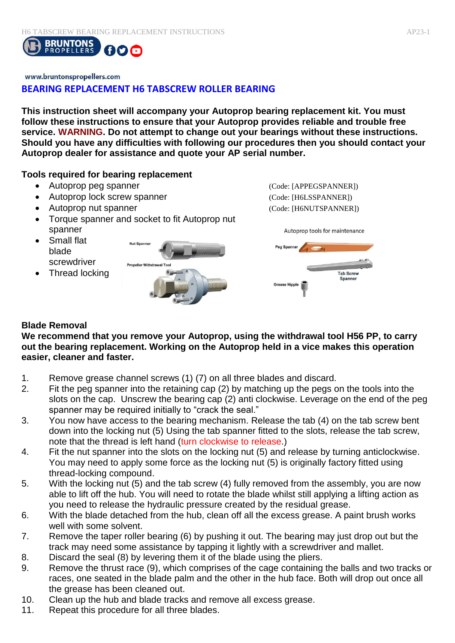

#### www.bruntonspropellers.com

# **BEARING REPLACEMENT H6 TABSCREW ROLLER BEARING**

**This instruction sheet will accompany your Autoprop bearing replacement kit. You must follow these instructions to ensure that your Autoprop provides reliable and trouble free service. WARNING. Do not attempt to change out your bearings without these instructions. Should you have any difficulties with following our procedures then you should contact your Autoprop dealer for assistance and quote your AP serial number.** 

#### **Tools required for bearing replacement**

- Autoprop peg spanner (Code: [APPEGSPANNER])
- Autoprop lock screw spanner (Code: [H6LSSPANNER])
- Autoprop nut spanner (Code: [H6NUTSPANNER])
- Torque spanner and socket to fit Autoprop nut spanner
- Small flat blade screwdriver
- Thread locking





### **Blade Removal**

**We recommend that you remove your Autoprop, using the withdrawal tool H56 PP, to carry out the bearing replacement. Working on the Autoprop held in a vice makes this operation easier, cleaner and faster.** 

- 1. Remove grease channel screws (1) (7) on all three blades and discard.
- 2. Fit the peg spanner into the retaining cap (2) by matching up the pegs on the tools into the slots on the cap. Unscrew the bearing cap (2) anti clockwise. Leverage on the end of the peg spanner may be required initially to "crack the seal."
- 3. You now have access to the bearing mechanism. Release the tab (4) on the tab screw bent down into the locking nut (5) Using the tab spanner fitted to the slots, release the tab screw, note that the thread is left hand (turn clockwise to release.)
- 4. Fit the nut spanner into the slots on the locking nut (5) and release by turning anticlockwise. You may need to apply some force as the locking nut (5) is originally factory fitted using thread-locking compound.
- 5. With the locking nut (5) and the tab screw (4) fully removed from the assembly, you are now able to lift off the hub. You will need to rotate the blade whilst still applying a lifting action as you need to release the hydraulic pressure created by the residual grease.
- 6. With the blade detached from the hub, clean off all the excess grease. A paint brush works well with some solvent.
- 7. Remove the taper roller bearing (6) by pushing it out. The bearing may just drop out but the track may need some assistance by tapping it lightly with a screwdriver and mallet.
- 8. Discard the seal (8) by levering them it of the blade using the pliers.
- 9. Remove the thrust race (9), which comprises of the cage containing the balls and two tracks or races, one seated in the blade palm and the other in the hub face. Both will drop out once all the grease has been cleaned out.
- 10. Clean up the hub and blade tracks and remove all excess grease.
- 11. Repeat this procedure for all three blades.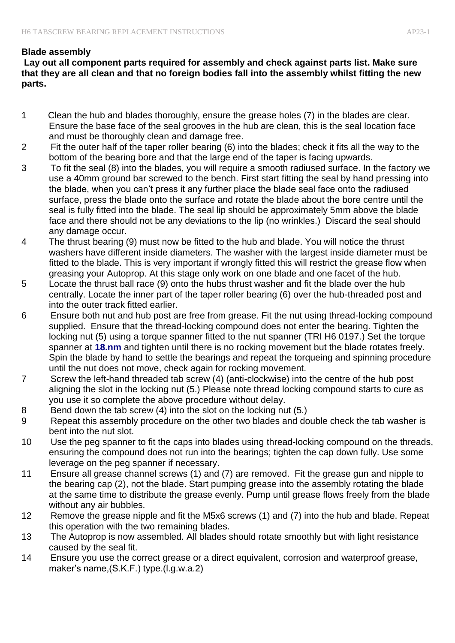# **Blade assembly**

**Lay out all component parts required for assembly and check against parts list. Make sure that they are all clean and that no foreign bodies fall into the assembly whilst fitting the new parts.** 

- 1 Clean the hub and blades thoroughly, ensure the grease holes (7) in the blades are clear. Ensure the base face of the seal grooves in the hub are clean, this is the seal location face and must be thoroughly clean and damage free.
- 2 Fit the outer half of the taper roller bearing (6) into the blades; check it fits all the way to the bottom of the bearing bore and that the large end of the taper is facing upwards.
- 3 To fit the seal (8) into the blades, you will require a smooth radiused surface. In the factory we use a 40mm ground bar screwed to the bench. First start fitting the seal by hand pressing into the blade, when you can't press it any further place the blade seal face onto the radiused surface, press the blade onto the surface and rotate the blade about the bore centre until the seal is fully fitted into the blade. The seal lip should be approximately 5mm above the blade face and there should not be any deviations to the lip (no wrinkles.) Discard the seal should any damage occur.
- 4 The thrust bearing (9) must now be fitted to the hub and blade. You will notice the thrust washers have different inside diameters. The washer with the largest inside diameter must be fitted to the blade. This is very important if wrongly fitted this will restrict the grease flow when greasing your Autoprop. At this stage only work on one blade and one facet of the hub.
- 5 Locate the thrust ball race (9) onto the hubs thrust washer and fit the blade over the hub centrally. Locate the inner part of the taper roller bearing (6) over the hub-threaded post and into the outer track fitted earlier.
- 6 Ensure both nut and hub post are free from grease. Fit the nut using thread-locking compound supplied. Ensure that the thread-locking compound does not enter the bearing. Tighten the locking nut (5) using a torque spanner fitted to the nut spanner (TRI H6 0197.) Set the torque spanner at **18.nm** and tighten until there is no rocking movement but the blade rotates freely. Spin the blade by hand to settle the bearings and repeat the torqueing and spinning procedure until the nut does not move, check again for rocking movement.
- 7 Screw the left-hand threaded tab screw (4) (anti-clockwise) into the centre of the hub post aligning the slot in the locking nut (5.) Please note thread locking compound starts to cure as you use it so complete the above procedure without delay.
- 8 Bend down the tab screw (4) into the slot on the locking nut (5.)
- 9 Repeat this assembly procedure on the other two blades and double check the tab washer is bent into the nut slot.
- 10 Use the peg spanner to fit the caps into blades using thread-locking compound on the threads, ensuring the compound does not run into the bearings; tighten the cap down fully. Use some leverage on the peg spanner if necessary.
- 11 Ensure all grease channel screws (1) and (7) are removed. Fit the grease gun and nipple to the bearing cap (2), not the blade. Start pumping grease into the assembly rotating the blade at the same time to distribute the grease evenly. Pump until grease flows freely from the blade without any air bubbles.
- 12 Remove the grease nipple and fit the M5x6 screws (1) and (7) into the hub and blade. Repeat this operation with the two remaining blades.
- 13 The Autoprop is now assembled. All blades should rotate smoothly but with light resistance caused by the seal fit.
- 14 Ensure you use the correct grease or a direct equivalent, corrosion and waterproof grease, maker's name,(S.K.F.) type.(l.g.w.a.2)